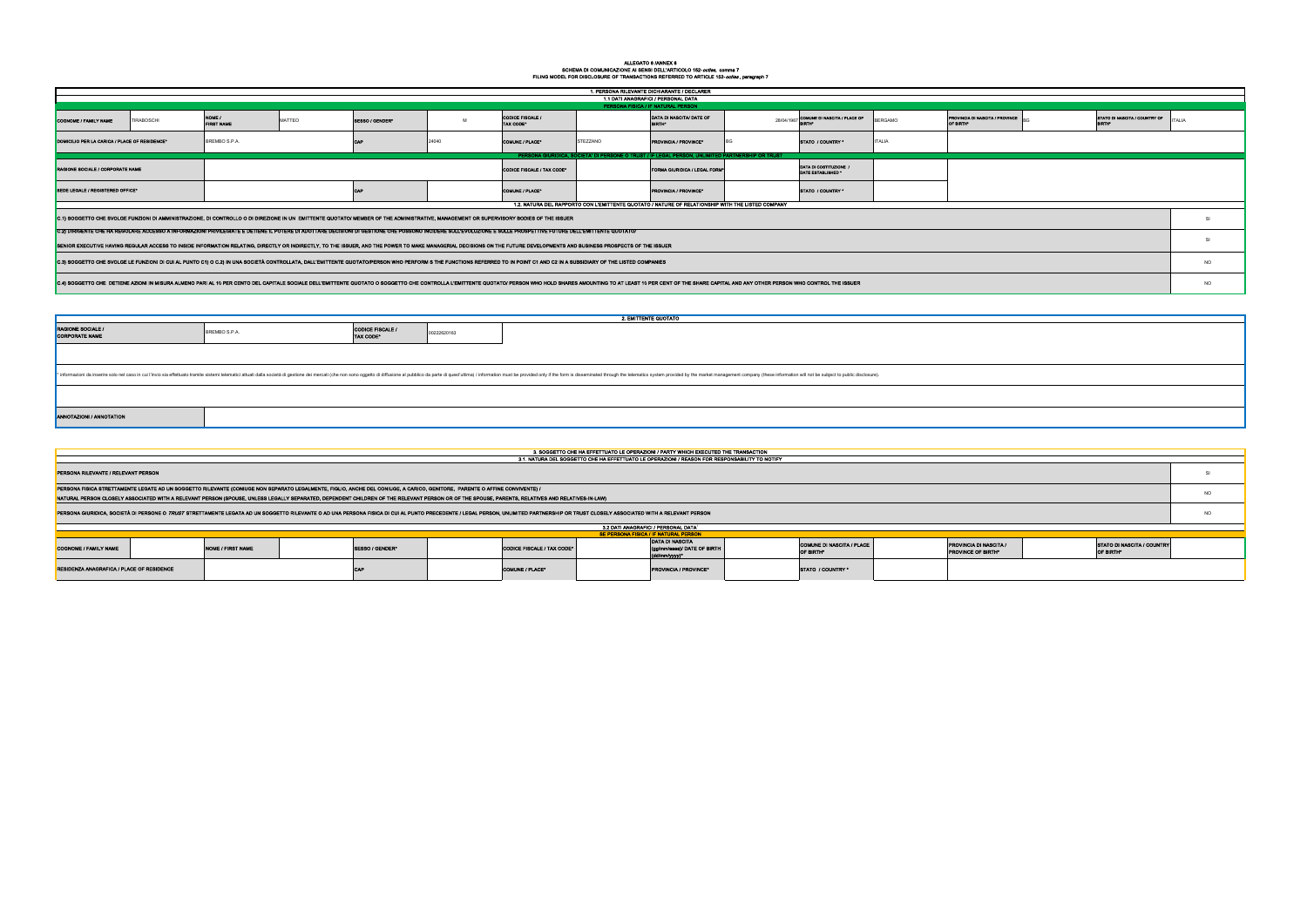## ALLEGATO 6 /ANNEX 6<br>SCHEMA DI COMUNICAZIONE AI SENSI DELL'ARTICOLO 152-*octies, c*omma 7<br>FILING MODEL FOR DISCLOSURE OF TRANSACTIONS REFERRED TO ARTICLE 152-*octies* , paragraph 7

| 1. PERSONA RILEVANTE DICHIARANTE / DECLARER                                                                                                                                                                                                                                                                                                                                                                                                  |                   |                             |        |                                                                                                                                                                                                                              |             |                                             |                                                                               |                                                                                                                                                                                                                                |            |                                               |                |                                                     |           |                                         |           |
|----------------------------------------------------------------------------------------------------------------------------------------------------------------------------------------------------------------------------------------------------------------------------------------------------------------------------------------------------------------------------------------------------------------------------------------------|-------------------|-----------------------------|--------|------------------------------------------------------------------------------------------------------------------------------------------------------------------------------------------------------------------------------|-------------|---------------------------------------------|-------------------------------------------------------------------------------|--------------------------------------------------------------------------------------------------------------------------------------------------------------------------------------------------------------------------------|------------|-----------------------------------------------|----------------|-----------------------------------------------------|-----------|-----------------------------------------|-----------|
| 1.1 DATI ANAGRAFICI / PERSONAL DATA                                                                                                                                                                                                                                                                                                                                                                                                          |                   |                             |        |                                                                                                                                                                                                                              |             |                                             |                                                                               |                                                                                                                                                                                                                                |            |                                               |                |                                                     |           |                                         |           |
| PERSONA FISICA / IF NATURAL PERSON                                                                                                                                                                                                                                                                                                                                                                                                           |                   |                             |        |                                                                                                                                                                                                                              |             |                                             |                                                                               |                                                                                                                                                                                                                                |            |                                               |                |                                                     |           |                                         |           |
| <b>COGNOME / FAMILY NAME</b>                                                                                                                                                                                                                                                                                                                                                                                                                 | <b>TIRABOSCHI</b> | NOME /<br><b>FIRST NAME</b> | MATTEO | SESSO / GENDER*                                                                                                                                                                                                              | M           | <b>CODICE FISCALE /</b><br><b>TAX CODE*</b> |                                                                               | DATA DI NASCITA/ DATE OF                                                                                                                                                                                                       | 28/04/1967 | COMUNE DI NASCITA / PLACE OF                  | <b>BERGAMO</b> | PROVINCIA DI NASCITA / PROVINCE<br>OF BIRTH®        |           | STATO DI NASCITA / COUNTRY OF           | TALIA     |
| DOMICILIO PER LA CARICA / PLACE OF RESIDENCE*                                                                                                                                                                                                                                                                                                                                                                                                |                   | BREMBO S.P.A.               |        |                                                                                                                                                                                                                              | 24040       | <b>COMUNE / PLACE®</b>                      | STEZZANO                                                                      | ROVINCIA / PROVINCE®                                                                                                                                                                                                           |            | STATO / COUNTRY '                             | TALIA          |                                                     |           |                                         |           |
| PERSONA GIURIDICA, SOCIETA' DI PERSONE O TRUST / IF LEGAL PERSON, UNLIMITED PARTNERSHIP OR TRUST                                                                                                                                                                                                                                                                                                                                             |                   |                             |        |                                                                                                                                                                                                                              |             |                                             |                                                                               |                                                                                                                                                                                                                                |            |                                               |                |                                                     |           |                                         |           |
| RAGIONE SOCIALE / CORPORATE NAME                                                                                                                                                                                                                                                                                                                                                                                                             |                   |                             |        |                                                                                                                                                                                                                              |             | <b>CODICE FISCALE / TAX CODE*</b>           | DATA DI COSTITUZIONE /<br>FORMA GIURIDICA / LEGAL FORM®<br>DATE ESTABLISHED * |                                                                                                                                                                                                                                |            |                                               |                |                                                     |           |                                         |           |
| SEDE LEGALE / REGISTERED OFFICE*                                                                                                                                                                                                                                                                                                                                                                                                             |                   |                             |        | CAP                                                                                                                                                                                                                          |             | <b>COMUNE / PLACE®</b>                      |                                                                               | PROVINCIA / PROVINCE°                                                                                                                                                                                                          |            | STATO / COUNTRY *                             |                |                                                     |           |                                         |           |
| 1.2. NATURA DEL RAPPORTO CON L'EMITTENTE QUOTATO / NATURE OF RELATIONSHIP WITH THE LISTED COMPANY                                                                                                                                                                                                                                                                                                                                            |                   |                             |        |                                                                                                                                                                                                                              |             |                                             |                                                                               |                                                                                                                                                                                                                                |            |                                               |                |                                                     |           |                                         |           |
| C.1) SOGGETTO CHE SVOLGE FUNZIONI DI AMMINISTRAZIONE, DI CONTROLLO O DI DIREZIONE IN UN EMITTENTE QUOTATO/ MEMBER OF THE ADMINISTRATIVE, MANAGEMENT OR SUPERVISORY BODIES OF THE ISSUER                                                                                                                                                                                                                                                      |                   |                             |        |                                                                                                                                                                                                                              |             |                                             |                                                                               |                                                                                                                                                                                                                                |            |                                               |                |                                                     | SI        |                                         |           |
| C.2) DIRIGENTE CHE HA REGOLARE ACCESSO A INFORMAZIONI PRIVILEGIATE E DETIENE IL POTERE DI ADOTTARE DECISIONI DI GESTIONE CHE POSSONO INCIDERE SULL'EVOLUZIONE E SULLE PROSPETTIVE FUTURE DELL'EMITTENTE QUOTATO/<br>SENIOR EXECUTIVE HAVING REGULAR ACCESS TO INSIDE INFORMATION RELATING, DIRECTLY OR INDIRECTLY, TO THE ISSUER, AND THE POWER TO MAKE MANAGERIAL DECISIONS ON THE FUTURE DEVELOPMENTS AND BUSINESS PROSPECTS OF THE ISSUER |                   |                             |        |                                                                                                                                                                                                                              |             |                                             |                                                                               |                                                                                                                                                                                                                                |            |                                               |                | <b>SI</b>                                           |           |                                         |           |
|                                                                                                                                                                                                                                                                                                                                                                                                                                              |                   |                             |        | C.3) SOGGETTO CHE SVOLGE LE FUNZIONI DI CUI AL PUNTO C1) O C.2) IN UNA SOCIETÀ CONTROLLATA, DALL'EMITTENTE QUOTATO/PERSON WHO PERFORM S THE FUNCTIONS REFERRED TO IN POINT C1 AND C2 IN A SUBSIDIARY OF THE LISTED COMPANIES |             |                                             |                                                                               |                                                                                                                                                                                                                                |            |                                               |                |                                                     |           |                                         | <b>NO</b> |
| C.4) SOGGETTO CHE DETIENE AZIONI IN MISURA ALMENO PARI AL 10 PER CENTO DEL CAPITALE SOCIALE DELL'EMITTENTE QUOTATO O SOGGETTO CHE CONTROLLA L'EMITTENTE QUOTATO/ PERSON WHO HOLD SHARES AMOUNTING TO AT LEAST 10 PER CENT OF T                                                                                                                                                                                                               |                   |                             |        |                                                                                                                                                                                                                              |             |                                             |                                                                               |                                                                                                                                                                                                                                |            |                                               |                | <b>NO</b>                                           |           |                                         |           |
|                                                                                                                                                                                                                                                                                                                                                                                                                                              |                   |                             |        |                                                                                                                                                                                                                              |             |                                             |                                                                               |                                                                                                                                                                                                                                |            |                                               |                |                                                     |           |                                         |           |
|                                                                                                                                                                                                                                                                                                                                                                                                                                              |                   |                             |        |                                                                                                                                                                                                                              |             |                                             |                                                                               |                                                                                                                                                                                                                                |            |                                               |                |                                                     |           |                                         |           |
|                                                                                                                                                                                                                                                                                                                                                                                                                                              |                   |                             |        |                                                                                                                                                                                                                              |             |                                             |                                                                               | 2. EMITTENTE QUOTATO                                                                                                                                                                                                           |            |                                               |                |                                                     |           |                                         |           |
| <b>RAGIONE SOCIALE /</b><br><b>CORPORATE NAME</b>                                                                                                                                                                                                                                                                                                                                                                                            |                   | BREMBO S.P.A.               |        | <b>CODICE FISCALE /</b><br>TAX CODE*                                                                                                                                                                                         | 00222620163 |                                             |                                                                               |                                                                                                                                                                                                                                |            |                                               |                |                                                     |           |                                         |           |
|                                                                                                                                                                                                                                                                                                                                                                                                                                              |                   |                             |        |                                                                                                                                                                                                                              |             |                                             |                                                                               |                                                                                                                                                                                                                                |            |                                               |                |                                                     |           |                                         |           |
|                                                                                                                                                                                                                                                                                                                                                                                                                                              |                   |                             |        |                                                                                                                                                                                                                              |             |                                             |                                                                               | * informazioni da inserire solo nel caso in cui l'invio sia effettuato tramite istemit telematic iattuati della società di gestione dei mercati (che non sono oggetto di diffusione al pubblico da parte di quest'ultima) / in |            |                                               |                |                                                     |           |                                         |           |
|                                                                                                                                                                                                                                                                                                                                                                                                                                              |                   |                             |        |                                                                                                                                                                                                                              |             |                                             |                                                                               |                                                                                                                                                                                                                                |            |                                               |                |                                                     |           |                                         |           |
| ANNOTAZIONI / ANNOTATION                                                                                                                                                                                                                                                                                                                                                                                                                     |                   |                             |        |                                                                                                                                                                                                                              |             |                                             |                                                                               |                                                                                                                                                                                                                                |            |                                               |                |                                                     |           |                                         |           |
|                                                                                                                                                                                                                                                                                                                                                                                                                                              |                   |                             |        |                                                                                                                                                                                                                              |             |                                             |                                                                               |                                                                                                                                                                                                                                |            |                                               |                |                                                     |           |                                         |           |
|                                                                                                                                                                                                                                                                                                                                                                                                                                              |                   |                             |        |                                                                                                                                                                                                                              |             |                                             |                                                                               | 3. SOGGETTO CHE HA EFFETTUATO LE OPERAZIONI / PARTY WHICH EXECUTED THE TRANSACTION                                                                                                                                             |            |                                               |                |                                                     |           |                                         |           |
|                                                                                                                                                                                                                                                                                                                                                                                                                                              |                   |                             |        |                                                                                                                                                                                                                              |             |                                             |                                                                               | 3.1. NATURA DEL SOGGETTO CHE HA EFFETTUATO LE OPERAZIONI / REASON FOR RESPONSABILITY TO NOTIFY                                                                                                                                 |            |                                               |                |                                                     |           |                                         |           |
| PERSONA RILEVANTE / RELEVANT PERSON                                                                                                                                                                                                                                                                                                                                                                                                          |                   |                             |        |                                                                                                                                                                                                                              |             |                                             |                                                                               |                                                                                                                                                                                                                                |            |                                               |                | SI                                                  |           |                                         |           |
| PERSONA FISICA STRETTAMENTE LEGATE AD UN SOGGETTO RILEVANTE (CONIUGE NON SEPARATO LEGALMENTE, FIGLIO, ANCHE DEL CONIUGE, A CARICO, GENITORE, PARENTE O AFFINE CONVIVENTE) /<br>NATURAL PERSON CLOSELY ASSOCIATED WITH A RELEVANT PERSON (SPOUSE, UNLESS LEGALLY SEPARATED, DEPENDENT CHILDREN OF THE RELEVANT PERSON OR OF THE SPOUSE, PARENTS, RELATIVES AND RELATIVES-IN-LAW)                                                              |                   |                             |        |                                                                                                                                                                                                                              |             |                                             |                                                                               |                                                                                                                                                                                                                                |            |                                               |                | <b>NO</b>                                           |           |                                         |           |
| PERSONA GIURIDICA, SOCIETÀ DI PERSONE O TRUST STRETTAMENTE LEGATA AD UN SOGGETTO RILEVANTE O AD UNA PERSONA FISICA DI CUI AL PUNTO PRECEDENTE / LEGAL PERSON, UNLIMITED PARTNERSHIP OR TRUST CLOSELY ASSOCIATED WITH A RELEVAN                                                                                                                                                                                                               |                   |                             |        |                                                                                                                                                                                                                              |             |                                             |                                                                               |                                                                                                                                                                                                                                |            |                                               |                |                                                     | <b>NO</b> |                                         |           |
| 3.2 DATI ANAGRAFICI / PERSONAL DATA <sup>1</sup><br><b>SE PERSONA FISICA / IF NATURAL PERSON</b>                                                                                                                                                                                                                                                                                                                                             |                   |                             |        |                                                                                                                                                                                                                              |             |                                             |                                                                               |                                                                                                                                                                                                                                |            |                                               |                |                                                     |           |                                         |           |
|                                                                                                                                                                                                                                                                                                                                                                                                                                              |                   |                             |        |                                                                                                                                                                                                                              |             |                                             |                                                                               | <b>DATA DI NASCITA</b>                                                                                                                                                                                                         |            |                                               |                |                                                     |           |                                         |           |
| <b>COGNOME / FAMILY NAME</b>                                                                                                                                                                                                                                                                                                                                                                                                                 |                   | <b>NOME / FIRST NAME</b>    |        | SESSO / GENDER*                                                                                                                                                                                                              |             | CODICE FISCALE / TAX CODE*                  |                                                                               | (gg/mm/aaaa)/ DATE OF BIRTH<br>d/mm/yyyy)*                                                                                                                                                                                     |            | <b>COMUNE DI NASCITA / PLACE</b><br>OF BIRTH* |                | <b>PROVINCIA DI NASCITA /</b><br>PROVINCE OF BIRTH* |           | STATO DI NASCITA / COUNTRY<br>OF BIRTH* |           |
| RESIDENZA ANAGRAFICA / PLACE OF RESIDENCE                                                                                                                                                                                                                                                                                                                                                                                                    |                   |                             |        | CAL                                                                                                                                                                                                                          |             | <b>COMUNE / PLACE*</b>                      |                                                                               | <b>PROVINCIA / PROVINCE*</b>                                                                                                                                                                                                   |            | STATO / COUNTRY *                             |                |                                                     |           |                                         |           |

| ITA / PROVINCE | BG | STATO DI NASCITA / COUNTRY OF<br><b>BIRTH®</b> | <b>ITALIA</b>  |
|----------------|----|------------------------------------------------|----------------|
|                |    |                                                |                |
|                |    |                                                |                |
|                |    |                                                |                |
|                |    |                                                | $\mathbb{S}^1$ |
|                |    |                                                | $\mathbb{S}^1$ |
|                |    |                                                | <b>NO</b>      |
|                |    |                                                | <b>NO</b>      |